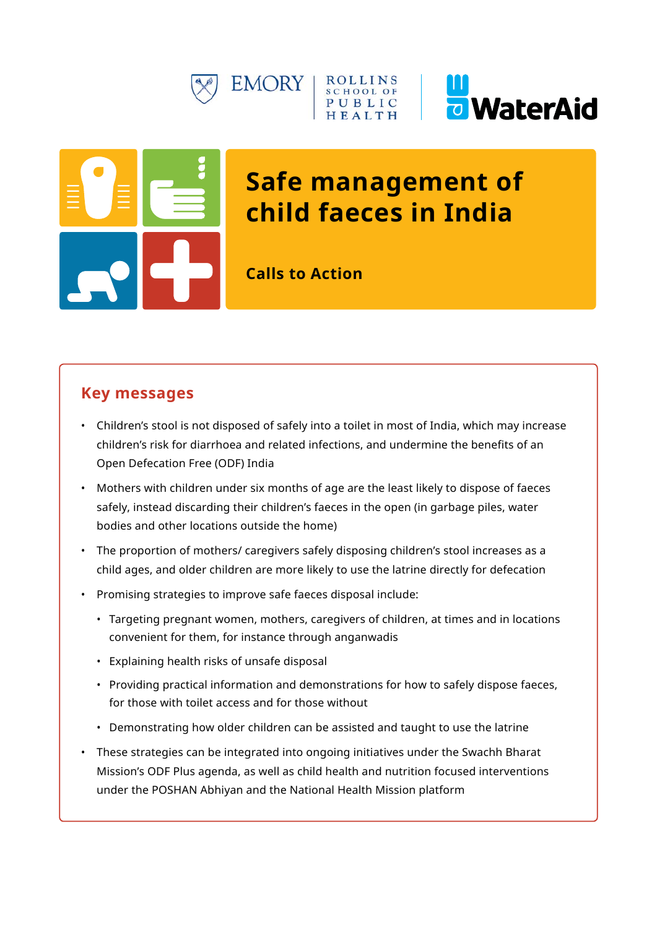





# **Safe management of child faeces in India**

**Calls to Action**

# **Key messages**

- Children's stool is not disposed of safely into a toilet in most of India, which may increase children's risk for diarrhoea and related infections, and undermine the benefits of an Open Defecation Free (ODF) India
- Mothers with children under six months of age are the least likely to dispose of faeces safely, instead discarding their children's faeces in the open (in garbage piles, water bodies and other locations outside the home)
- The proportion of mothers/ caregivers safely disposing children's stool increases as a child ages, and older children are more likely to use the latrine directly for defecation
- Promising strategies to improve safe faeces disposal include:
	- Targeting pregnant women, mothers, caregivers of children, at times and in locations convenient for them, for instance through anganwadis
	- Explaining health risks of unsafe disposal
	- Providing practical information and demonstrations for how to safely dispose faeces, for those with toilet access and for those without
	- Demonstrating how older children can be assisted and taught to use the latrine
- These strategies can be integrated into ongoing initiatives under the Swachh Bharat Mission's ODF Plus agenda, as well as child health and nutrition focused interventions under the POSHAN Abhiyan and the National Health Mission platform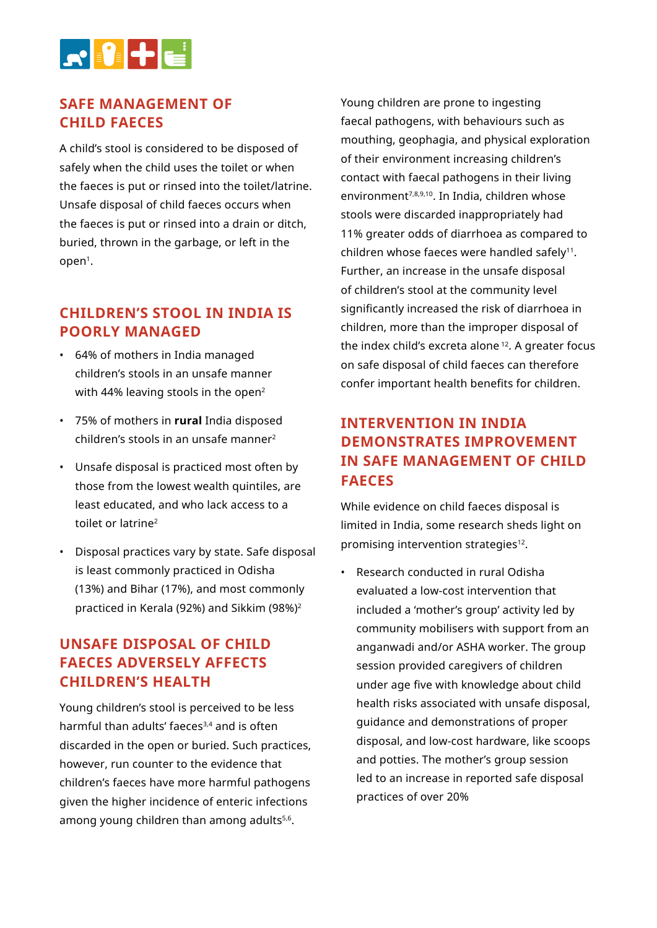

#### **SAFE MANAGEMENT OF CHILD FAECES**

A child's stool is considered to be disposed of safely when the child uses the toilet or when the faeces is put or rinsed into the toilet/latrine. Unsafe disposal of child faeces occurs when the faeces is put or rinsed into a drain or ditch, buried, thrown in the garbage, or left in the  $open<sup>1</sup>$ .

#### **CHILDREN'S STOOL IN INDIA IS POORLY MANAGED**

- 64% of mothers in India managed children's stools in an unsafe manner with 44% leaving stools in the open<sup>2</sup>
- 75% of mothers in **rural** India disposed children's stools in an unsafe manner2
- Unsafe disposal is practiced most often by those from the lowest wealth quintiles, are least educated, and who lack access to a toilet or latrine2
- Disposal practices vary by state. Safe disposal is least commonly practiced in Odisha (13%) and Bihar (17%), and most commonly practiced in Kerala (92%) and Sikkim (98%)2

### **UNSAFE DISPOSAL OF CHILD FAECES ADVERSELY AFFECTS CHILDREN'S HEALTH**

Young children's stool is perceived to be less harmful than adults' faeces<sup>3,4</sup> and is often discarded in the open or buried. Such practices, however, run counter to the evidence that children's faeces have more harmful pathogens given the higher incidence of enteric infections among young children than among adults<sup>5,6</sup>.

Young children are prone to ingesting faecal pathogens, with behaviours such as mouthing, geophagia, and physical exploration of their environment increasing children's contact with faecal pathogens in their living environment<sup>7,8,9,10</sup>. In India, children whose stools were discarded inappropriately had 11% greater odds of diarrhoea as compared to children whose faeces were handled safely<sup>11</sup>. Further, an increase in the unsafe disposal of children's stool at the community level significantly increased the risk of diarrhoea in children, more than the improper disposal of the index child's excreta alone 12. A greater focus on safe disposal of child faeces can therefore confer important health benefits for children.

## **INTERVENTION IN INDIA DEMONSTRATES IMPROVEMENT IN SAFE MANAGEMENT OF CHILD FAECES**

While evidence on child faeces disposal is limited in India, some research sheds light on promising intervention strategies<sup>12</sup>.

• Research conducted in rural Odisha evaluated a low-cost intervention that included a 'mother's group' activity led by community mobilisers with support from an anganwadi and/or ASHA worker. The group session provided caregivers of children under age five with knowledge about child health risks associated with unsafe disposal, guidance and demonstrations of proper disposal, and low-cost hardware, like scoops and potties. The mother's group session led to an increase in reported safe disposal practices of over 20%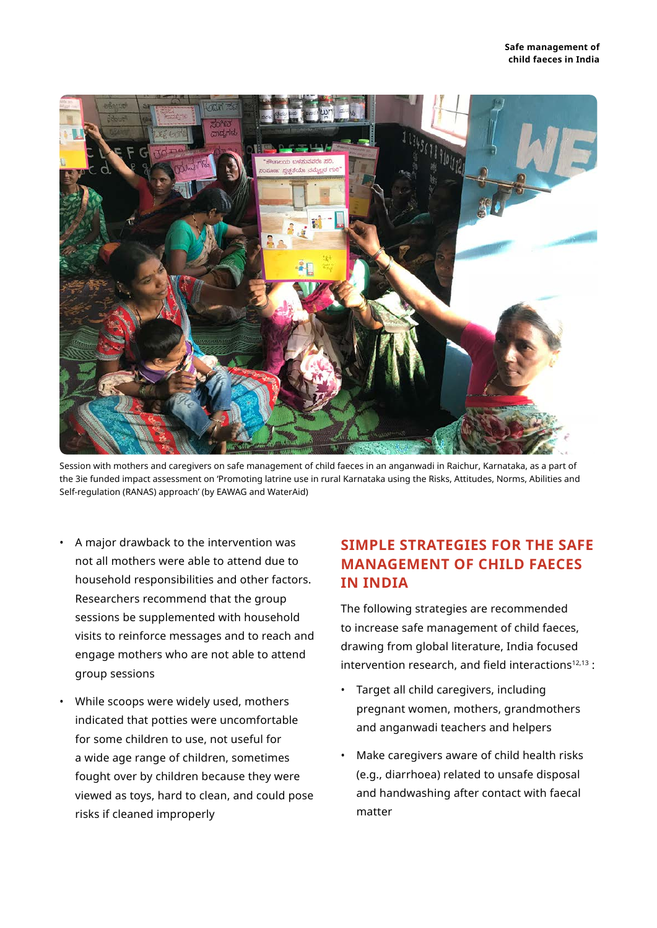

Session with mothers and caregivers on safe management of child faeces in an anganwadi in Raichur, Karnataka, as a part of the 3ie funded impact assessment on 'Promoting latrine use in rural Karnataka using the Risks, Attitudes, Norms, Abilities and Self-regulation (RANAS) approach' (by EAWAG and WaterAid)

- A major drawback to the intervention was not all mothers were able to attend due to household responsibilities and other factors. Researchers recommend that the group sessions be supplemented with household visits to reinforce messages and to reach and engage mothers who are not able to attend group sessions
- While scoops were widely used, mothers indicated that potties were uncomfortable for some children to use, not useful for a wide age range of children, sometimes fought over by children because they were viewed as toys, hard to clean, and could pose risks if cleaned improperly

### **SIMPLE STRATEGIES FOR THE SAFE MANAGEMENT OF CHILD FAECES IN INDIA**

The following strategies are recommended to increase safe management of child faeces, drawing from global literature, India focused intervention research, and field interactions<sup>12,13</sup>:

- Target all child caregivers, including pregnant women, mothers, grandmothers and anganwadi teachers and helpers
- Make caregivers aware of child health risks (e.g., diarrhoea) related to unsafe disposal and handwashing after contact with faecal matter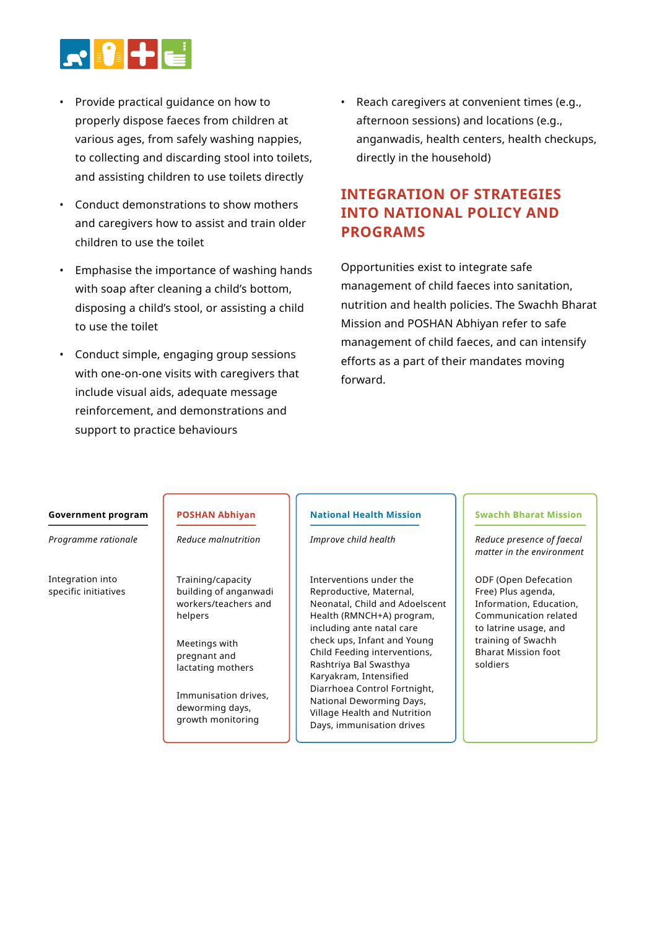

- Provide practical guidance on how to properly dispose faeces from children at various ages, from safely washing nappies, to collecting and discarding stool into toilets, and assisting children to use toilets directly
- Conduct demonstrations to show mothers and caregivers how to assist and train older children to use the toilet
- Emphasise the importance of washing hands with soap after cleaning a child's bottom, disposing a child's stool, or assisting a child to use the toilet
- Conduct simple, engaging group sessions with one-on-one visits with caregivers that include visual aids, adequate message reinforcement, and demonstrations and support to practice behaviours

• Reach caregivers at convenient times (e.g., afternoon sessions) and locations (e.g., anganwadis, health centers, health checkups, directly in the household)

## **INTEGRATION OF STRATEGIES INTO NATIONAL POLICY AND PROGRAMS**

Opportunities exist to integrate safe management of child faeces into sanitation, nutrition and health policies. The Swachh Bharat Mission and POSHAN Abhiyan refer to safe management of child faeces, and can intensify efforts as a part of their mandates moving forward.

#### **Government program**

*Programme rationale*

Integration into specific initiatives

#### **POSHAN Abhiyan** *Reduce malnutrition*

Training/capacity building of anganwadi workers/teachers and helpers

Meetings with pregnant and lactating mothers

Immunisation drives, deworming days, growth monitoring

#### **National Health Mission**

*Improve child health*

Interventions under the Reproductive, Maternal, Neonatal, Child and Adoelscent Health (RMNCH+A) program, including ante natal care check ups, Infant and Young Child Feeding interventions, Rashtriya Bal Swasthya Karyakram, Intensified Diarrhoea Control Fortnight, National Deworming Days, Village Health and Nutrition Days, immunisation drives

#### **Swachh Bharat Mission**

*Reduce presence of faecal matter in the environment* 

ODF (Open Defecation Free) Plus agenda, Information, Education, Communication related to latrine usage, and training of Swachh Bharat Mission foot soldiers